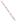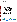

# **Environmental Technology Verification Program**  Advanced Monitoring Systems Center

# Test/QA Plan for Verification of Chemiluminescent Ozone Analyzer

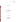## **TEST/QA PLAN**

**for** 

## **Verification of Chemiluminescent Ozone Analyzer**

**June 6, 2007** 

**Prepared by** 

**Battelle 505 King Avenue Columbus, OH 43201-2693**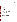## **TABLE OF CONTENTS**

| Section        | Page |
|----------------|------|
|                |      |
| A <sub>1</sub> |      |
| A <sub>2</sub> |      |
| A <sub>3</sub> |      |
| A <sub>4</sub> |      |
| A <sub>5</sub> |      |
| A6             |      |
|                |      |
| B <sub>1</sub> |      |
| B <sub>2</sub> |      |
| B <sub>3</sub> |      |
| B <sub>4</sub> |      |
| B <sub>5</sub> |      |
| <b>B6</b>      |      |
| B7             |      |
| B <sub>8</sub> |      |
| <b>B9</b>      |      |
| <b>B10</b>     |      |
|                |      |
| C <sub>1</sub> |      |
| C <sub>2</sub> |      |
|                |      |
| D <sub>1</sub> |      |
| D2             |      |
|                |      |
|                |      |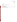| List of Figures | Page |
|-----------------|------|
|                 |      |
| List of Tables  |      |
|                 |      |
|                 |      |
|                 |      |
|                 |      |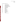Chemiluminescent Ozone Analyzer Test/QA Plan Page 4 of 39 Version 1 June 6, 2007

## **ACRONYMS AND ABBREVIATIONS**

| <b>API</b>     | American Petroleum Institute                 |
|----------------|----------------------------------------------|
| <b>AMS</b>     | <b>Advanced Monitoring Systems</b>           |
| $r^2$          | Coefficient of determination                 |
| <b>COA</b>     | Chemiluminescent ozone analyzer              |
| <b>EPA</b>     | U.S. Environmental Protection Agency         |
| <b>ETV</b>     | <b>Environmental Technology Verification</b> |
| <b>FEM</b>     | Federal equivalent method                    |
| GC             | Gas chromatograph                            |
| <b>LRB</b>     | Laboratory record book                       |
| <b>MSD</b>     | Mass selective detector                      |
| m <sup>3</sup> | Meters cubed                                 |
| mg             | Milligrams                                   |
| ppb            | Parts per billion                            |
| $\%R$          | percent recovery                             |
| PE             | Performance evaluation                       |
| QA             | Quality assurance                            |
| QC             | Quality control                              |
| QMP            | Quality management plan                      |
| <b>RH</b>      | Relative humidity                            |
| <b>TSA</b>     | Technical systems audit                      |
| T              | Temperature                                  |
| UV             | Ultraviolet                                  |
| <b>VOC</b>     | Volatile organic compounds                   |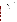## **ETV Advanced Monitoring Systems Center**

**Test/QA Plan** 

**for** 

**Verification of Chemiluminescent Ozone Analyzer** 

**June 6, 2007** 

## **VENDOR ACCEPTANCE:**

Name \_\_\_\_\_\_\_\_\_\_\_\_\_\_\_\_\_\_\_\_\_\_\_\_\_\_\_\_\_\_\_\_\_\_

Company \_\_\_\_\_\_\_\_\_\_\_\_\_\_\_\_\_\_\_\_\_\_\_\_\_\_\_\_\_\_\_

Date \_\_\_\_\_\_\_\_\_\_\_\_\_\_\_\_\_\_\_\_\_\_\_\_\_\_\_\_\_\_\_\_\_\_\_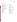#### **DISTRIBUTION LIST**

Elizabeth A. Betz<br>  $H_S$  Environmental Protection Agency<br>
OPTEC Inc. U.S. Environmental Protection Agency-1985 West Henderson Road<br>HEASD 1985 West Henderson Road<br>National European Because Lebentery<br>National European Because Lebentery National Exposure Research Laboratory<br>E205-01 EPA Mailroom Columbus, OH 43220 Research Triangle Park, NC 27711 Dennis Mikel

U.S. Environmental Protection Agency-<br>HEASD<br>End and Protection Agency-<br>EASD HEASD<br>
National Exposure Research Laboratory<br>
D205-05 EPA Mailroom Research Triangle Park, NC 27711 Research Triangle Park, NC 27711 Rudy Eden

Thomas Kelly<br>
Patricia Holowecky<br>
21965 E Patricia Holowecky 21865 E. Copley Drive<br>
21865 E. Copley Drive 21865 E. Copley Drive<br>
Zachary Willenberg 21865 Diamond Bar, CA 91765

Robert Fuerst<br>
U.S. Environmental Protection Agency<br>
Office of Air Quality Planning and

Amy Dindal Laboratory Services and Source Testing<br>South Coast Air Quality Management

Battelle Will Ollison<br>505 King Ave. American Petroleum Institute<br>Columbus, OH 43201 1220 L Street Washington, D.C. 2005-4070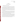## **SECTION A PROJECT MANAGEMENT**

#### <span id="page-8-0"></span>**A1 VERIFICATION TEST ORGANIZATION**

The verification test will be conducted under the auspices of the U.S. Environmental Protection Agency (EPA) through the Environmental Technology Verification (ETV) Program. It will be performed by Battelle, which is managing the ETV Advanced Monitoring Systems (AMS) Center through a cooperative agreement with EPA. The scope of the AMS Center covers verification of monitoring technologies for contaminants and natural species in air, water, and soil. The performance of the COA will be judged against a Federal Equivalent Method (FEM) ultraviolet (UV) continuous monitor for ozone. Specifically, the FEM used for this test will be method EQOA-0880-047.

The day to day operations of this verification test will be coordinated and supervised by Battelle personnel, with the participation of the vendor who will be having the performance of their COA verified. Testing will be conducted at Battelle in Columbus, Ohio. The vendor will provide Battelle with their COA and will train the Battelle staff in the operation of the COA. Battelle staff will operate the technology during verification testing.

The organization chart in Figure 1 identifies the responsibilities of the organizations and individuals associated with the verification test. Roles and responsibilities are defined further below. Quality Assurance (QA) oversight will be provided by the Battelle Quality Manager and also by the EPA AMS Center Quality Manager, at her discretion. The organization chart in Figure 1 identifies the responsibilities of the organizations and individuals primarily associated with the verification test. Roles and responsibilities are defined further below.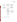<span id="page-9-0"></span>

**Figure 1. Organization Chart for the Verification Test**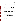#### **A1.1 Battelle**

Ms. Patricia Holowecky is the AMS Center's Verification Test Coordinator for this test. In this role, Ms. Holowecky will have overall responsibility for ensuring that the technical, schedule, and cost goals established for the verification test are met. Specifically, Ms. Holowecky will:

- Prepare the draft test/QA plan, verification reports, and verification statements.
- Revise the draft test/QA plan, verification reports, and verification statements in response to reviewers' comments.
- Assemble a team of qualified technical staff to conduct the verification test.
- Establish a budget for the verification test and manage staff to ensure the budget is not exceeded.
- Direct the team in performing the verification test in accordance with this test/QA plan.
- Hold a kick-off meeting approximately one week prior to the start of the verification test to review the critical logistical, technical, and administrative aspects of the verification test. Responsibility for each aspect of the verification test will be confirmed.
- Ensure that all quality procedures specified in this test/QA plan and in the AMS Center Quality Management Plan1 (QMP) are followed.
- Serve as the primary point of contact for vendor representatives.
- Ensure that confidentiality of sensitive vendor information is maintained.
- Assist vendors as needed during verification testing.
- Become familiar with the operation and maintenance of the COA through instruction by the vendor, if needed.
- Respond to any issues raised in assessment reports, audits, or from test staff observations, and institute corrective action as necessary.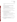• Coordinate distribution of the final test/QA plan, verification reports, and verification statements.

Dr. Thomas Kelly will serve as Verification Testing Leader. Dr. Kelly will:

- Support Ms. Holowecky in preparing the test/QA plan and designing the test.
- Review the draft and final test/QA plan.
- Attend the verification test kick-off meeting.
- Ensure that confidentiality of sensitive vendor information is maintained.
- Support Ms. Holowecky in responding to any issues raised in assessment reports and audits.
- Review the draft and final verification reports and verification statements.

Ms. Amy Dindal is Battelle's Manager for the AMS Center. As such, Ms. Dindal will oversee the various stages of verification testing. Ms. Dindal will:

- Review the draft and final test/QA plan.
- Attend the verification test kick-off meeting.
- Review the draft and final verification reports and verification statements.
- Ensure that necessary Battelle resources, including staff and facilities, are committed to the verification test.
- Maintain communication with EPA's technical and quality managers.
- Issue a stop work order if Battelle or EPA QA staff discover adverse findings that will compromise test results.

Technical staff from Battelle will support Ms. Holowecky in planning and conducting the verification test. The responsibilities of the technical staff will be to:

• Assist in planning for the test, and making arrangements for the receipt of and training on the COA.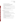- Attend the verification test kick-off meeting.
- Assist vendor staff as needed during technology receipt and training.
- Conduct verification testing using the vendor's COA technology.
- Conduct reference measurements during the testing.
- Perform statistical calculations specified in this test/QA plan on the technology data as needed.
- Provide results of statistical calculations and associated discussion for the verification reports as needed.
- Support Ms. Holowecky in responding to any issues raised in assessment reports and audits related to statistics and data reduction as needed.

Mr. Zachary Willenberg is Battelle's Quality Manager for the AMS Center.

Mr. Willenberg will:

- Review the draft and final test/QA plan.
- Attend the verification test kick-off meeting.
- Conduct a technical systems audit at least once during the verification test, or designate other QA staff to conduct the audit.
- Audit at least 10% of the verification data or designate other QA staff to conduct the data audit.
- Prepare and distribute an assessment report for each audit.
- Verify implementation of any necessary corrective action.
- Request that Battelle's AMS Center Manager issue a stop work order if audits indicate that data quality is being compromised.
- Provide a summary of the QA/quality control (QC) activities and results for the verification reports.
- Review the draft and final verification reports and verification statements.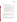#### **A1.2 COA Vendor**

The responsibilities of the COA vendor are as follows:

- Review and provide comments on the draft test/QA plan.
- Accept (by signature of a company representative) the final test/QA plan prior to test initiation.
- Provide two units of their technology for evaluation during the verification test.
- Provide all other equipment/supplies/reagents/consumables needed to operate their technology for the duration of the verification test.
- Supply training on the use of the technology, and provide written consent and instructions for test staff to carry out verification testing, including written instructions for routine operation of their technology.
- Provide maintenance and repair support for their technology, on-site if necessary, throughout the duration of the verification test.
- Review and provide comments on the draft verification report and statement for their respective technology.

## **A1.3 EPA**

EPA's responsibilities in the AMS Center are based on the requirements stated in the "Environmental Technology Verification Program Quality Management Plan" (EPA ETV  $QMP$ ).<sup>2</sup> The roles of specific EPA staff are as follows:

Ms. Elizabeth Betz is EPA's AMS Center Quality Manager. For the verification test, Ms. Betz will:

- Review the draft test/QA plan.
- Perform at her option one external technical systems audit during the verification test.
- Notify the EPA AMS Center Project Officer of the need for a stop work order if the external audit indicates that data quality is being compromised.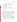- <span id="page-14-0"></span>• Prepare and distribute an assessment report summarizing results of the external audit.
- Review the draft verification reports and verification statements.

Mr. Robert Fuerst is EPA's Project Officer for the AMS Center. Mr. Fuerst will:

- Review the draft test/QA plan.
- Approve the final test/QA plan.
- Review the draft verification reports and verification statements.
- Oversee the EPA review process for the test/QA plan, verification reports, and verification statements.
- Coordinate the submission of verification reports and verification statements for final EPA approval.

#### **A2 BACKGROUND**

The ETV Program's AMS Center conducts third-party performance testing of commercially available technologies that detect or monitor natural species or contaminants in air, water, and soil. The purpose of ETV is to provide objective and quality assured performance data on environmental technologies, so that users, developers, regulators, and consultants can make informed decisions about purchasing and applying these technologies. Stakeholder committees of buyers and users of such technologies recommend technology categories, and technologies within those categories, as priorities for testing. Verification reports from previous tests are available at http://www.epa.gov/etv/verifications/verification-index.html.

The purpose of this test/QA plan is to specify procedures for a verification test applicable to commercial COA's such as the OPTEC 3.02 P-A COA.<sup>3</sup> The purpose of the verification test is to compare the response of the OPTEC COA to the response of a federally designated FEM UV method for ozone (specifically for this test the FEM will be method EQOA-0880-047). In performing the verification test, Battelle will follow the technical and QA procedures specified in this test/QA plan and will comply with the data quality requirements in the AMS Center QMP.<sup>1</sup>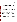#### <span id="page-15-0"></span>**A3 VERIFICATION TEST DESCRIPTION AND SCHEDULE**

#### **A3.1 Summary of Technology Category**

Ozone is a pervasive pollutant that is formed by photochemical processes involving sunlight, nitrogen oxides and volatile organic compounds (VOC) in air. The U.S. Clean Air Act and its Amendments established air quality standards for ozone, and pollution control strategies require state and local authorities to regulate for compliance with the standards. Because of the costs associated with emission control programs and penalties for those organizations that are not in compliance, it is essential that the ozone measurements that determine compliance with the standards be performed accurately.

One of the methods currently utilized for ambient ozone monitoring is UV photometry, which makes use of the ozone molecule's strong absorption band in the ultraviolet region of the spectrum, with a maximum coinciding with the strong mercury emission line at 254 nanometers (nm). Measurements made with a low-pressure mercury light source and an optical cell of relatively short pathlength (typically 0.1 to 1 m) can achieve ozone detection limits of 5 parts per billion (ppb) or better. Commercial instruments that employ UV photometry measure the transmission of UV radiation through an air sample and compare the intensity with that obtained along the same pathlength through air containing no ozone. Ideally the ozone-free reference signal should be measured using ambient air containing all of the constituents of the sample air except ozone. This is because other atmospheric species that absorb 254 nm radiation will reduce the light intensity and will bias the ozone measurement unless they are present at the same concentrations in the sample and reference air. In practice, a scrubber (typically  $MnO<sub>2</sub>$ ) has been used to selectively remove ozone from the air. However, any atmospheric constituent that absorbs 254 nm radiation and is removed by the scrubber represents a potential interference to the ozone measurements. Several commercial ozone monitors using UV absorption have been designated by EPA as FEMs; the monitor used specifically for this test will be method EQOA-0880-047.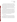Concerns have been raised over potential interference to the UV photometry method caused by aromatic hydrocarbons and their atmospheric reaction products, <sup>4,5,6,7</sup> mercury vapor,<sup>8</sup> sulfur dioxide,  $9^9$  and water vapor.  $8,10,11,12$  Wilson and Birks<sup>13</sup> have proposed a mechanism that explains the water vapor interference observed with UV absorption ozone monitors on hot humid days. They report that the scrubber can act as a reservoir for water vapor, and the water vapor films formed on cell walls can influence the transmission of reflected UV light through the measurement cell, thus affecting the ozone measurement signal. To control the water vapor interference, a Nafion tube that equilibrates humidity in the scrubbed and unscrubbed air samples is reported to resolve this problem.

The growing evidence for ozone measurement bias with the widely used  $MnO<sub>2</sub>$  scrubber has led to renewed interest in another technology that intends to resolve or minimize these interference problems. For example, the 3.02 P-A COA from OPTEC Inc. is claimed to be free from water vapor interference up to 98% relative humidity, as long as condensation does not occur.<sup>3</sup> The 3.02 P-A COA detects ozone by means of its reaction with a solid reagent surface to produce light (chemiluminescence),  $14,15,16$  which is then detected by a photomultiplier tube. The ETV test as described in this test/QA plan will explore the effectiveness of COAs and quantify their response relative to the response of FEM instrumentation (used specifically as FEM EQOA-0880-047) under various environmental interferent conditions.

#### **A3.2 Verification Schedule**

Table 1 shows the planned schedule of activities for the verification testing and data analysis and reporting. As shown in Table 1, the laboratory activities are planned to begin in May 2007 with installation of the COA. Testing is expected to begin in June, and the period of testing will be approximately 2 weeks. A separate ETV verification report will then be drafted for each COA, and the report will be reviewed by the technology vendor and subsequently by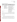| <b>Month</b> | <b>Verification Activity</b>                                                                          |                                                                                                                                                                                                                                                                                |  |
|--------------|-------------------------------------------------------------------------------------------------------|--------------------------------------------------------------------------------------------------------------------------------------------------------------------------------------------------------------------------------------------------------------------------------|--|
| (2007)       | <b>Testing</b>                                                                                        | <b>Data Analysis and Reporting</b>                                                                                                                                                                                                                                             |  |
| May          | Analyzer training by vendor<br>Set up/install COA                                                     | Begin preparation of ETV report template                                                                                                                                                                                                                                       |  |
| June         | Calibration of COA<br>Humidity effect testing<br>Interference testing<br>Ambient outdoor measurements | Compile data from humidity effects<br>Compile data from interferent challenges<br>Analyze ambient outdoor data<br>Review and summarize operator observations                                                                                                                   |  |
| July         | Shutdown of test setup<br>Return of COAs to vendors                                                   | Finalize data from all interferents<br>Finalize data from ambient measurements<br>Complete common sections of reports<br>Complete report sections on interferent challenges<br>and operator observations<br>Internal review of draft reports<br>Vendor review of draft reports |  |
| August       |                                                                                                       | Revision of draft reports<br>Peer review of draft reports                                                                                                                                                                                                                      |  |
| September    |                                                                                                       | Revision of draft reports<br>Submission of final reports for EPA approval                                                                                                                                                                                                      |  |

#### <span id="page-17-0"></span>**Table 1. Planned Verification Schedule**

peer reviewers. The test/QA plan and final reports will be submitted to EPA for final signature, and these documents will be made publicly available on both the EPA/ETV and the Battelle AMS Center websites.

## **A3.3 Test Facility**

Laboratory analyses will be conducted in Battelle laboratories in Columbus, Ohio.

In performing this verification test, Battelle will follow the procedures specified in this test/QA plan and will comply with quality requirements in the AMS Center QMP.<sup>1</sup> The laboratory that will be used contains a 17.3  $m<sup>3</sup>$  environmental chamber. This facility is equipped for safe handling of chemicals and will be used to maintain controlled testing atmospheres.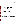#### <span id="page-18-0"></span>**A4 QUALITY OBJECTIVES**

This verification test is designed to evaluate the performance of the COAs for determining ozone in air. This evaluation will include a comparison of the COA results to the EPA designated FEM (EQOA-0880-047). These methods are both continuous real-time ozone analyzers. The calibration of the FEM analyzer will be based on delivery of ozone from an Environics Model 6400 ozone generator that has itself been calibrated against a Dasibi Model 1008-PC UV calibration photometer. The addition of a Nafion dryer to one of the COAs will also be used during testing to determine the analyzers response to humidity effects. This comparison will be made between the COAs.

The validity of calibration of the FEM analyzer will be checked by a Performance Evaluation (PE) audit, performed by direct comparison of the Dasibi 1008 readings to those of a UV transfer standard photometer operated by the Ohio EPA. That PE audit is described in section C.1.1.

QA/QC requirements will be augmented by a Technical Systems Audit (TSA) and a data quality audit. These additional QA procedures will be carried out by Battelle. The planned audit procedures are described in Section C1. The EPA Quality Manager also may conduct an independent TSA, at her discretion.

#### **A5 SPECIAL TRAINING/CERTIFICATION**

Documentation of training related to technology testing, field testing, data analysis, and reporting is maintained for all Battelle technical staff in training files at their respective locations. The Battelle Quality Manager may verify the presence of appropriate training records prior to the start of testing. Battelle technical staff will have a minimum of a bachelor's degree in science/engineering or have equivalent work experience.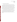#### <span id="page-19-0"></span>**A6 DOCUMENTATION AND RECORDS**

The records for this verification test will be contained in the test/QA plan, chain-ofcustody forms, laboratory record books (LRB), data collection forms, electronic files (both raw data and spreadsheets), the final verification report and assessment reports. All of these records will be maintained in the Verification Test Coordinator's office during the test and will be transferred to permanent storage at Battelle's Records Management Office at the conclusion of the verification test except for assessment reports which are permanently stored with the Battelle Quality Manager. All Battelle LRBs are stored indefinitely, either by the Verification Test Coordinator or Battelle's Records Management Office. EPA will be notified before disposal of any files. Section B10 further details the data recording practices and responsibilities.

All written records must be in ink. Any corrections to notebook entries, or changes in recorded data, must be made with a single line through the original entry. The correction is then to be entered, initialed, and dated by the person making the correction. In all cases, strict confidentiality of data from the vendor's technology will be maintained. Separate files (including manual records, printouts, and/or electronic data files) will be kept for the vendor's technology.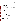## **SECTION B MEASUREMENT AND DATA ACQUISITION**

#### <span id="page-20-0"></span>**B1 EXPERIMENTAL DESIGN**

This test/QA plan addresses the verification of the COA for ozone by evaluating various performance parameters created in an environmental testing chamber, and in monitoring of ozone in ambient air. The accuracy, linearity, comparability, and interference effects of water vapor, aromatic compounds, mercury, and products of atmospheric photochemistry will be evaluated. Completeness of the data and operational factors will also be assessed. Specifically the COA will be evaluated for the following performance parameters:

- Accuracy
- Linearity
- Interference Effects
- Comparability
- Data Completeness
- Operational factors such as ease of use, maintenance and data output needs, power and other consumables use, reliability, and operational costs.

Accuracy and linearity will be determined for the COA by determining the degree of agreement with ozone calibration standards made in zero air at various ozone concentrations Comparability will be assessed by comparison of the COA response to the Thermo Environmental UV Model 49C FEM.

Interference effects will be determined by challenging the COA with various levels of relative humidity (RH), substituted aromatic compounds, mercury, and products of photochemistry. Data completeness will be assessed as the percentage of maximum data return that is achieved by the COA over the test period. Operational factors will be evaluated by means of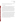operator observations, and records of needed maintenance, vendor activities, and expendables used. This test/QA plan provides the verification procedures for the COA.

#### **B1.1 Test Procedures**

The following sections describe the test procedures that will be used to evaluate each of the performance parameters listed above. Test atmospheres will be generated in a 17.3  $m<sup>3</sup>$ environmental chamber. The ozone analyzers undergoing testing will be connected to the chamber via a common manifold and will sample through a Teflon filter (nominal 5 um pore size). Laboratory temperature (T) near the monitors will also be measured. The analyzers that will be used as part of the verification test are listed in Table 2, together with their Federal designation (if any), the source of the analyzer, the type of ozone scrubber, and any special notes regarding the testing. Two COAs will be tested, one operated with and one without a Nafion drier to control the humidity (and potentially select polar organic component levels) of the sample air.

The T, RH, and particle concentration of the air in the chamber will be monitored during each test, using standard T and RH sensors and a Climet particle counter, respectively. During tests in which organic species are injected into the chamber, the VOC content of the chamber will be monitored with a total hydrocarbon monitor (flame ionization, VIG Corp.), and an integrated sample will be collected and analyzed by a gas chromatograph with mass selective detector (GC/MSD) to confirm the concentration of the organic species. For selected tests, gaseous elemental mercury will also be added to the chamber using a high emission rate permeation tube following procedures employed successfully in the chamber during past projects. An integrated sample will be collected and analyzed as described in Section B.1.1.2 to confirm the concentration of elemental mercury in the chamber.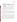| Analyzer                | Federal<br><b>Status</b> | Ozone<br><b>Scrubber</b> | <b>Notes</b>                  |
|-------------------------|--------------------------|--------------------------|-------------------------------|
| Thermo Environmental    | <b>FEM</b>               | MnO <sub>2</sub>         | Monitor absorbance tube T     |
| UV Model 49C            |                          | unheated                 |                               |
| OPTEC 3.02 P-A solid-   | --                       | <b>NA</b>                |                               |
| phase chemiluminescence |                          |                          |                               |
| OPTEC 3.02 P-A solid-   |                          | <b>NA</b>                | Use Nafion drier to reduce RH |
| phase chemiluminescence |                          |                          | of sampled air                |

#### <span id="page-22-0"></span>**Table 2. Ozone Analyzers**

The signals from the test analyzers and other ancillary equipment, such as T and RH monitors and the total hydrocarbon monitor, will be recorded at least every minute using a Campbell Scientific data acquisition system. The zero signals of the ozone monitors will be set to 10% of full scale in order to observe any negative shifts in signal during the tests.

#### *B1.1.1 Accuracy and Linearity*

After the COA has been calibrated, the accuracy and linearity of the COA will be determined by challenges with ozone over a range of concentrations from 0 to 300 ppb, generated by using an Environics Model 6400 ozone generator (transfer standard) that has itself been calibrated against a Dasibi 1008 UV calibration photometer. The ozone will be added in stepwise concentrations at both low (approximately 5%) and high (70 to 80%) relative humidity.

#### *B.1.1.2 Interference Effects*

Interference effects in ozone-free air will be determined by the zero response of the COA with both low and high humidity when challenged with chemical interferences. The interference effects and the response of the COA will be assessed in Tests 1 and 2 as shown in Table 3. In these tests, the COA will be challenged with a mixture of four interferents. The interferents are listed in Table 3 and will be added to the environmental chamber at their respective designated concentrations. The first interferent will be supplied to the chamber and the response of the COA monitored. After the analyzer responses stabilize, the next interferent will then be added into the chamber, and the process of injecting the interferent and recording response will be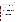| <b>Test</b> | <b>RH</b> | <b>Interferent</b> | Concentration        |
|-------------|-----------|--------------------|----------------------|
|             | 5%        | Naphthalene        | $10$ ppb             |
|             | $5\%$     | o-nitrophenol      | $10$ ppb             |
|             | $5\%$     | p-tolualdehyde     | $10$ ppb             |
|             | $5\%$     | Mercury            | 50 ng/m <sup>3</sup> |
|             | 70 to 80% | Naphthalene        | $10$ ppb             |
| 2           | 70 to 80% | o-nitrophenol      | $10$ ppb             |
|             | 70 to 80% | p-tolualdehyde     | $10$ ppb             |
|             | 70 to 80% | Mercury            | 50 ng/m <sup>3</sup> |

<span id="page-23-0"></span>**Table 3. Interference Testing** 

repeated until all four interferents have been added. After each injection of an interferent, an integrated sample will be taken in the environmental chamber to confirm the injected concentration. The challenges to the COA will occur in Test 1 at low  $(-5%)$  and in Test 2 at high (70 to 80%) RH. In between the tests, the environmental chamber will be purged overnight and the COA will be backflushed in order to clear the analyzer of any potential carryover of interferences.

The response of the COA to photochemical reaction products, present in air along with ozone, will be tested in Tests 3 and 4 (Table 4). Both tests will be conducted in a series of steps, starting with monitoring of clean dry air, then of humidified clean air, and then proceeding to monitoring of that air, spiked with a 17-component hydrocarbon mixture and  $NO<sub>2</sub>$ . Finally, Tests 3 and 4 will each include the irradiation of the chamber and the monitoring of the COA response until the ozone photochemical maximum has been passed. The difference between Tests 3 and 4 will be the four times higher hydrocarbon concentrations and  $NO<sub>2</sub>$  used in Test 4. Those higher concentrations are designed to represent an extreme air pollution episode. In between the tests, the environmental chamber will be purged overnight and the COA will be backflushed in order to clear the analyzer of any potential concern of remaining interferences.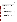| <b>Step</b>                                | Concentration             |
|--------------------------------------------|---------------------------|
| Monitor dry zero air                       | 0 to 5 $%$ RH             |
| Monitor humidified air                     | 70 to 80% RH              |
| Add 17-component urban hydrocarbon mixture | $500$ ppb $C$             |
| Add $NO2$                                  | $50$ ppb                  |
| Irradiate chamber contents                 | NA.                       |
| Monitor dry zero air                       | 0 to 5 $%$ RH             |
| Monitor humidified air                     | 70 to 80% RH              |
| Add 17-component urban hydrocarbon mixture | $2000$ ppbC               |
| Add $NO2$                                  | $200$ ppb                 |
| Irradiate chamber contents                 | NA                        |
|                                            | $N_A = not$ opplies $I_A$ |

<span id="page-24-0"></span>**Table 4. Photochemical Testing** 

 $NA = not$  applicable

#### *B1.1.3 Comparability*

Comparability will be evaluated by comparing the responses of the COA to the responses of the Thermo Environmental UV Model 49C FEM with the various challenges. All the analyzers listed in Table 2 will undergo sampling of the same procedures created in the environmental chamber. These procedures include the response to humidity effects at low and high humidity levels and the challenge of ozone concentrations ranging from zero to 300 ppb. Each analyzer will also be tested with the same interferences. For the purposes of this test/QA plan, two COAs connected to a common manifold will sample from the environmental chamber, one with a Nafion Dryer and one without. The effect of the addition of a Nafion drier to one of the COAs will be evaluated by comparing the resulting response between the two COAs.

The comparability of the COA response to ambient air will also be evaluated by comparing the analyzer response to the Thermo Environmental UV Model 49C analyzer during ambient air monitoring, which will be carried out over four successive days at Battelle. The COA will be compared to the UV analyzer by calculating the relative percent difference of the response of the COA to the response of the UV analyzer. The analyzers will continuously monitor for 96 hours and the hourly averages will be calculated for use in this determination.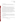#### *B.1.1.4 Data Completeness*

No additional test procedures will be carried out specifically to address data completeness. This parameter will be assessed based on the overall data return achieved by the COA.

#### *B1.1.5 Operational Factors*

Operational factors such as maintenance needs, data output, consumables used, ease of use, etc., will be evaluated based on observations recorded by Battelle staff. A separate laboratory record book will be maintained and will be used to enter daily observations on these factors. Examples of information to be recorded in the record books include the daily status of diagnostic indicators for the COA; use or replacement of any consumables; the effort or cost associated with maintenance or repair; vendor effort (e.g., time on site) for repair or maintenance; the duration and causes of the COA down time or data acquisition failure; the sustainability of the analyzer (e.g. power consumed, wastes generated, disposal costs required); and operator observations about ease of use of the COA. These observations will be summarized to aid in describing COA performance in the verification report on each COA.

#### **B1.2 Statistical Analysis**

The statistical methods and calculations used for evaluating quantitative performance parameters are described in the following sections. In all cases, COA readings in mg/m<sup>3</sup> will be converted to ppb, using measured T and barometric data, before comparisons to standard ozone concentrations and FEM data.

#### *B.1.2.1 Accuracy*

The accuracy of the COA with respect to the ozone transfer standard will be assessed as a percentage recovery (%R), using Equation 1:

$$
\%R = \left[1 + \left(\frac{Y - X}{X}\right)\right] \times 100\tag{1}
$$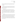Where Y is the COA reading and X is the delivered ozone transfer standard concentration. The average, minimum, and maximum %R values will be reported for each series of multi level ozone challenges.

#### *B1.2.2 Linearity*

Linearity will be assessed by a linear regression analysis using the ozone concentration delivered from the transfer standard as the independent variable and the results from the COA being tested as the dependent variable. Linearity will be expressed in terms of slope, intercept, and coefficient of determination  $(r^2)$ .

#### *B1.2.3 Interference Effects*

The interference effects of the COA will be calculated in terms of the ratio of the response of the COA when challenged with the interferent, to the actual concentration of the interferent. For example, if 100 ppb of an interferent results in a 1 ppb change in the response of the analyzer, the interference effect will be reported as 1% (i.e., 1 ppb/100 ppb). Interference effects will be reported separately for each interferent. The actual interferent concentration determined by analysis will be used in the calculation, not the nominal concentration shown in Table 3.

#### *B1.2.4 Comparability*

Comparability between the COA results and the FEM analyzer results will be assessed by linear regressions using the FEM readings as the independent variable and results from the COA as the dependent variable. Linearity will be expressed in terms of slope, intercept, and r.<sup>2</sup> This calculation will be done separately for each test described in Table 4, and separately with the FEM data from those tests. This calculation will also be done using the FEM data from the period of ambient air monitoring. Comparability calculations on the chamber tests will be based on minute-by-minute average data, whereas this calculation on the ambient data will be based on the hourly average values.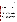Comparability will also be calculated between the COA operated with a Nafion drier and the one operated without such a drier. This calculation will be done using the data from the photochemical ozone chamber tests (Table 4) and the period of ambient air monitoring.

#### *B.1.2.5 Data Completeness*

Data Completeness will be calculated as the percentage of the total possible data return over the entire set of tests that is achieved by the COA. This calculation will use the total hours of data recorded from the COA divided by the total hours of data in the entire set of tests. No distinction will be made in this calculation between data recorded during different test activities. The causes of any substantial incompleteness of data return will be established from operator observations, and noted in the discussion of data completeness results.

#### **B1.3 Reporting**

The statistical comparisons described above will be conducted separately for each COA being tested, and information on the operational parameters will be compiled and reported. The data for each COA will be kept separate from data for all other COA's, and no intercomparison of the data from different vendors' analyzers will be performed at any time. A verification report will be prepared for the COA tested, that presents the test procedures and test data, as well as the results of the statistical evaluation of those data.

Operational aspects of the COA will be recorded by testing staff at the time of observation during the environmental chamber tests and field testing, and summarized in the verification report. For example, descriptions of the data-acquisition procedures, use of vendorsupplied proprietary software, consumables used, repairs and maintenance needed, and the nature of any problems will be presented in the report. The verification report will briefly describe the ETV program, the AMS Center, the test equipment and test conditions, and the procedures used in verification testing. The results of the verification test will be stated quantitatively, without comparison to any other COA's tested, or comment on the acceptability of the technology's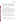<span id="page-28-0"></span>performance. The draft verification report will first be subjected to review by the technology vendor, then revised and subjected to a review by EPA, and/or other peer reviewers. The EPA comments and the peer review comments will be addressed in further revisions of the report, and the comments and responses will be tabulated to document the peer review process. The reporting and review process will be conducted according to the requirements of the AMS Center QMP.

#### **B2 REFERENCE SAMPLE COLLECTION**

Sample collection does not apply in this verification, because ozone cannot readily be collected in sampling devices. In lieu of the collection of reference samples the COA will be challenged with ozone using an Environics Model 6400 ozone generator (transfer standard) that has itself been calibrated against a Dasibi 1008 UV calibration photometer. In addition, COA response to photochemical ozone mixtures and ambient air will be compared with the corresponding response of the FEM as designated by their respective analyzers. In addition, independent audits of sampling procedures will be performed by Battelle as part of the Technical Systems Audit procedure (Section C1.1).

#### **B3 SAMPLE HANDLING AND CUSTODY REQUIREMENTS**

No reference samples will be collected in this test. However, samples will be collected for confirmation of the chamber concentrations of the interferent compounds. Such samples will be collected by, and remain in the custody of, the Battelle analyst who performs the confirming analysis.

#### **B4 LABORATORY REFERENCE METHODS**

The reference method used for ozone determination in this test is an EPA designated UV absorption FEM (EQOA-0880-047) that is a continuous real-time ozone analyzer. The FEM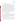<span id="page-29-0"></span>analyzer will be operated by Battelle staff according to the manufacturers' instructions, including those for warm-up and stabilization time before testing.

The FEM will be calibrated at the start of each day of testing using the ozone transfer standard described in Sections B1.1.4 and B2. This transfer standard itself will be calibrated against the Dasibi 1008 UV calibration photometer at the start of the series of chamber tests.

Laboratory measurements to confirm the interferent compound (i.e., naphthalene, onitrophenol, p-tolualdehyde) concentrations will be made using GC/MSD, with samples collected from the test chamber using commercially prepared sorbent traps. Prior to any chamber tests the sorbent method will be validated by tests of sorbent trap recovery and transfer of the interferent compounds to the GC/MSD. The GC/MSD response will be calibrated using standards prepared in Battelle's laboratories from the pure compounds. A linear regression of peak area versus compound mass will be established as the calibration curve, and used to calculate the actual chamber interferent concentrations. Similar procedures will be used for mercury determination by sampling on a gold trap and analysis in Battelle's laboratories by cold vapor atomic fluorescence on a Tekran series 2600 instrument.

#### **B5 QUALITY CONTROL REQUIREMENTS**

Quality of the reference ozone measurements will be assured by calibration of the FEM analyzer at the start of each day of testing, using the ozone transfer standard. The calibration slope must equal  $1 \pm 0.01$  and the r<sup>2</sup> greater than 0.95 in order for the reference measurement to meet QC requirements. Blank samples will be generated by challenging the ozone analyzers through the chamber sampling manifold with zero gas. If measurements fall outside of the required tolerances, the QC procedures will be repeated.

### **B6 INSTRUMENT/EQUIPMENT TESTING, INSPECTION, AND MAINTENANCE**

The Thermo Environmental FEM used for the reference sampling and analysis will be tested, inspected, and maintained as per the manufacturers operating instructions, so as to meet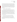<span id="page-30-0"></span>the performance requirements established in the ozone reference method for ozone measurements. The GC/MSD and mercury fluorescence instrument used for the reference sampling and analysis will be tested, inspected, and maintained as per the standard operating procedures of Battelle. Battelle staff will operate and maintain the COA undergoing testing, those activities will be done as directed by the vendor. Otherwise, repair and maintenance of the COA will be the responsibility of the technology vendor. Other equipment such as T and RH instruments will be obtained from the Battelle Instrument Services Laboratory and will have been calibrated within the past year.

#### **B7 INSTRUMENT CALIBRATION AND FREQUENCY**

Prior to the start of the environmental chamber tests a multipoint calibration will be performed on the FEM using an Environics Model 6400 ozone generator (transfer standard) that has itself been calibrated against a Dasibi 1008 UV calibration photometer. The ozone calibration standards will be generated in dry zero air. On each day of testing the ozone monitors will be challenged through the chamber sampling manifold with zero gas and a single point ozone span, both using dry zero air. In addition, the COA will be calibrated before the start of each test, using its internal ozone source. The GC/MSD and mercury fluorescence instrument will be calibrated prior to analyses and a minimum of a one point calibration will be performed on consecutive analyses days.

#### **B8 INSPECTION/ACCEPTANCE OF SUPPLIES AND CONSUMABLES**

All materials, supplies, and consumables will be ordered by the Verification Test Coordinator or designee. Where possible, Battelle will rely on sources of materials and consumables that have been used previously as part of ETV verification testing without problems. Battelle will also rely on previous experience or recommendations from EPA advisors or the COA vendor.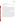#### <span id="page-31-0"></span>**B9 NON-DIRECT MEASUREMENTS**

Data published previously in the scientific literature will not be used during this verification test.

#### **B10 DATA MANAGEMENT**

Various types of data will be acquired and recorded electronically or manually by Battelle during this verification test. Table 5 summarizes the types of data to be recorded. All maintenance activities, repairs, calibrations, and operator observations relevant to the operation of the COA will be documented by Battelle staff in laboratory record books. A separate record book will be provided for each COA. Results from the COA and the FEM reference methods will be recorded in electronic format. All Battelle LRBs, record books and files are stored indefinitely, either by the Verification Test Coordinator or Battelle's Records Management Office. EPA will be notified before disposal of any files.

Records generated by any Battelle staff during the verification test will be reviewed by a Battelle staff member within two weeks of generation, before the records are used to calculate, evaluate, or report verification results. This review will be performed by a Battelle technical staff member involved in the verification test, but not the staff member who originally received or generated the record. The review will be documented by the person performing the review by adding his/her initials and date to the hard copy of the record being reviewed. In addition, any calculations performed by Battelle staff will be spot-checked by another Battelle technical staff member to ensure that calculations are performed correctly. Calculations to be checked include any statistical calculations described in this test/QA plan. The data obtained from this verification test will be compiled and reported independently for each COA tested.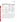| <b>Data to Be Recorded</b>                                                          | <b>Where Recorded</b>                                                                       | <b>How Often Recorded</b>                                                                                      | <b>Disposition of Data</b>                                                                            |
|-------------------------------------------------------------------------------------|---------------------------------------------------------------------------------------------|----------------------------------------------------------------------------------------------------------------|-------------------------------------------------------------------------------------------------------|
| Dates, times, and<br>details of test events,<br>COA maintenance,<br>down time, etc. | ETV test notebooks                                                                          | Start/end of test<br>procedure, and at each<br>change of a test<br>parameter or change of<br><b>COA</b> status | Used to organize/check<br>test results; manually<br>incorporated in data<br>spreadsheets as necessary |
| COA calibration<br>information                                                      | ETV test notebooks, or<br>electronically                                                    | At COA calibration or<br>re-calibration                                                                        | Incorporated in<br>verification report as<br>necessary                                                |
| COA ozone readings                                                                  | Recorded electronically<br>for each analyzer                                                | Recorded continuously<br>throughout testing<br>process                                                         | Converted to spreadsheet<br>for statistical analysis and<br>comparisons                               |
| Reference method<br>procedures,<br>calibrations, QA, etc.                           | Laboratory record<br>books, or data recording<br>forms                                      | At each calibration,<br>QA check, or change<br>in method status                                                | Retained as documentation<br>of reference method<br>performance                                       |
| Reference method<br>ozone results                                                   | Recorded electronically<br>from each reference<br>method                                    | Recorded continuously<br>throughout testing<br>process                                                         | Converted to spreadsheets<br>for statistical analysis and<br>comparisons                              |
| Results of analyses<br>for interferents in<br>chamber tests                         | Electronically by<br>GC/MSD instrument;<br>summarized in analysts<br>laboratory record book | At every sample<br>analysis                                                                                    | Converted to spreadsheet<br>for calculation of<br>interferent effects                                 |

<span id="page-32-0"></span>

| <b>Table 5. Summary of Data Recording Process</b> |  |
|---------------------------------------------------|--|
|---------------------------------------------------|--|

Among the QA activities conducted by Battelle QA staff will be an audit of data quality. This audit will consist of a review by the Battelle Quality Manager of at least 10% of the test data. During the course of any such audit, the Battelle Quality Manager will inform the technical staff of any findings and any immediate corrective action that should be taken. If serious data quality problems exist, the Battelle Quality Manager will notify the AMS Center Manager, who is authorized to stop work. Once the assessment report has been prepared, the Verification Test Coordinator will ensure that a response is provided for each adverse finding or potential problem, and will implement any necessary follow-up corrective action. The Battelle Quality Manager will ensure that follow-up corrective action has been taken.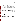## **SECTION C ASSESSMENT AND OVERSIGHT**

#### <span id="page-33-0"></span>**C1 ASSESSMENTS AND RESPONSE ACTIONS**

Every effort will be made in this verification test to anticipate and resolve potential problems before the quality of performance is compromised. One of the major objectives of this test/QA plan is to establish mechanisms necessary to ensure this. The procedures described in this test/QA plan, which is peer reviewed by a panel of outside experts, implemented by the technical staff and monitored by the Verification Test Coordinator, will give information on data quality on a day-to-day basis. The responsibility for interpreting the results of these checks and resolving any potential problems resides with the Verification Test Coordinator. Technical staff have the responsibility to identify problems that could affect data quality or the ability to use the data. Any problems that are identified will be reported to the Verification Test Coordinator, who will work with the Battelle Quality Manger to resolve any issues. Action will be taken to control the problem, identify a solution to the problem, and minimize losses and correct data, where possible. Independent of any EPA QA activities, Battelle will be responsible for ensuring that the following audits are conducted as part of this verification test.

#### **C1.1 Performance Evaluation Audit**

A Performance Evaluation (PE) audit will be conducted to establish the traceability of the ozone measurements made in this verification test An ozone transfer standard photometer provided by Ohio EPA, care of Mr. Christopher Galilei, will be used to compare to the measurements made by the Dasibi 1008 calibration photometer. Ozone will be generated by an Environics Model 6400 ozone generator and a series of simultaneous measurements made by the transfer standard and Dasibi photometer over the range of zero to at least 300 ppb ozone will be compared. The ozone transfer standard is traceable to the primary ozone standard reference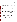photometer located at the EPA Region 5, Chicago, Illinois. Documentation of that traceability will be obtained and kept in the test records. If the readings of the Dasibi instrument are not the same as the readings of the ozone transfer standard, the data generated throughout this verification test will be corrected to comply with the values generated from the transfer standard. This audit will be performed once during the verification test

#### **C1.2 Technical Systems Audit**

The Battelle Quality Manager will perform a technical systems audit (TSA) at least once during this verification test. The purpose of this audit is to ensure that the verification test is being performed in accordance with the AMS Center QMP,<sup>1</sup> this test/QA plan, using the EPA designated reference method, and any Standard Operating Procedures (SOPs) used by Battelle. In the TSA, the Battelle Quality Manager or a designee may review the reference methods used, compare actual test procedures to those specified or referenced in this plan, and review data acquisition and handling procedures. The Battelle Quality Manager will tour the environmental chamber laboratory, observe the ozone monitoring and review test chamber procedures, and review COA-specific record books. He will also check calibration certifications for test measurement devices. A TSA report will be prepared, including a statement of findings and the actions taken to address any adverse findings. The EPA AMS Center Quality Manager will receive a copy of Battelle's TSA report. At EPA's discretion, EPA QA staff may also conduct an independent on-site TSA during the verification test. The TSA findings will be communicated to technical staff at the time of the audit and documented in a TSA report.

#### **C1.3 Data Quality Audit**

The Battelle Quality Manager will audit at least 10% of the verification data acquired in the verification test. The Battelle Quality Manager will trace the data from initial acquisition,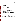<span id="page-35-0"></span>through reduction and statistical comparisons, to final reporting. All calculations performed on the data undergoing the audit will be checked.

#### **C1.4 QA/QC Reporting**

Each assessment and audit will be documented in accordance with Sections 3.3.4 and 3.3.5 of the AMS Center QMP.<sup>1</sup> The results of the technical systems audit will be submitted to EPA. Assessment reports will include the following:

- Identification of any adverse findings or potential problems
- Response to adverse findings or potential problems
- Recommendations for resolving problems
- Confirmation that solutions have been implemented and are effective
- Citation of any noteworthy practices that may be of use to others.

## **C2 REPORTS TO MANAGEMENT**

The Battelle Quality Manager, during the course of any assessment or audit, will identify to the technical staff performing experimental activities any immediate corrective action that should be taken. If serious quality problems exist, the Battelle Quality Manager will notify the AMS Center Manager, who is authorized to stop work. Once the assessment report has been prepared, the Verification Test Coordinator will ensure that a response is provided for each adverse finding or potential problem and will implement any necessary follow-up corrective action. The Battelle Quality Manager will ensure that follow-up corrective action has been taken. The test/QA plan and final report will be reviewed by EPA AMS Center QA staff and EPA AMS Center program management staff. Upon final review and approval, both documents will then be posted on both the EPA/ETV and the Battelle AMS Center websites.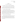## **SECTION D DATA VALIDATION AND USABILITY**

#### <span id="page-36-0"></span>**D1 DATA REVIEW, VALIDATION, AND VERIFICATION REQUIREMENTS**

The key data review requirements for the verification test are stated in Section B10 of this test/QA plan. The QA audits described within Section C of this document, including the audit of data quality, are designed to assure the quality of the data. Data will be verified for completeness, correctness, and compliance with the procedures as written in this test/QA plan.

#### **D2 VALIDATION AND VERIFICATION METHODS**

Section C of this test/QA plan provides a description of the validation safeguards employed for this verification test. Data validation and verification efforts include the use of the EPA designated FEM and ozone calibration equipment, and the performance of TSA, PE, and data audits as described in Section C. An audit of data quality will be conducted by the Battelle Quality Assurance Manager to ensure that data review and validation procedures were completed, and to assure the overall quality of the data. Any findings will be communicated to technical staff at the time of the audit and documented in a report.

#### **D3 RECONCILIATION WITH USER REQUIREMENTS**

The purpose of the verification test is to compare the response of the OPTEC COA to the response of a federally designated FEM UV method for ozone (specifically method EQOA-0880-047). The data obtained should include thorough documentation of the performance of each COA. The data review and validation procedures described in the previous sections will assure that data meet these requirements and are accurately presented in the evaluation reports generated from this test.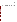This test/QA plan and the resulting ETV verification report(s) will be subjected to review by the COA vendor, EPA, and expert peer reviewers. These reviews will assure that this test/QA plan and the resulting report(s) meet the needs of potential users and permitters of COAs. The final report(s) will be submitted to EPA in Word and Adobe PDF format, both 508 compliant, and subsequently posted on the on the EPA/ETV and the Battelle AMS websites.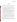#### **SECTION E**

#### **REFERENCES**

- <span id="page-38-0"></span>1. Quality Management Plan for the ETV Advanced Monitoring Systems Center, Version 6.0, U.S. EPA Environmental Technology Verification Program, Battelle, Columbus, Ohio, March 2005.
- 2. Environmental Technology Verification Program Quality Management Plan, EPA/600/R-03/021, U.S. Environmental Protection Agency, Cincinnati, Ohio, December 2002
- 3. M.Y. Arshinov, B.D. Belan, O.A. Krasnov, V.K. Kovalevskii, V.A. Pirogov, A.P Plotnikov, G.N. Tolmachev, and A.V. Fofonov, "Comparison of Ultraviolet and Chemiluminescent Ozonometers", Atmos.Oceanic Opt., 15, 656-658 (2002).
- 4. T. E. Kleindienst, E. E. Hudgens, D. F. Smith, F. F. McElroy, and J. J. Bufalini, "Comparison of Chemiluminescence and Ultraviolet Ozone Monitor Responses in the Presence of Humidity and Photochemical Pollutants, Air & Waste Mgmt. Assoc., 43, 213-222 (1993).
- 5. T. E. Kleindienst, McIver, C. D., and Ollison, W. M., "A Study of Interferences in Ambient Ozone Monitors", VIP-74, proceedings A&WMA Measurement of Toxic and Related Air Pollutants Conference, Research Triangle Park, NC, pp. 215-225 (1997).
- 6. J. A. Huntzicker and R. L. Johnson, "Investigations of an Ambient Interference in the Measurement of Ozone by Ultraviolet Photometry", Env. Sci. & Tech., 13, 1414 (1979).
- 7. D. Grosjean and J. Harrison, "Response of Chemiluminescent NOx Analyzers and Ultraviolet Ozone Analyzers to Organic Air Pollutants", Env. Sci. & Tech., 19, 862 (1985).
- 8. A. Leston, W. M. Ollison, "Estimated Accuracy of Ozone Design Values: Are They Compromised By Method Interferences?", Tropospheric Ozone: Nonattainment and Design Value Issues, Air & Waste Mgmt. Assoc., Pittsburgh, PA, p. 451 (October 27-30, 1992).
- 9. EPA, "Air Quality Criteria for Ozone and Related Photochemical Oxidants", EPA/600/P-93004aF, Vol. 1, Section 3.5, National Center for Environmental Assessment, U.S. EPA, Research Triangle Park, NC (1996).
- 10. E. E. Hudgens, T. E. Kliendienst, T. E., McElroy, F. F., and Ollison, W. M., "A Study of Interferences in Ozone UV and Chemiluminescence Monitors", in Measurement of Toxic and Related Air Pollutants, VIP-39, Air & Waste Mgmt. Assoc., Pittsburgh, PA, pp. 405-415 (1994).